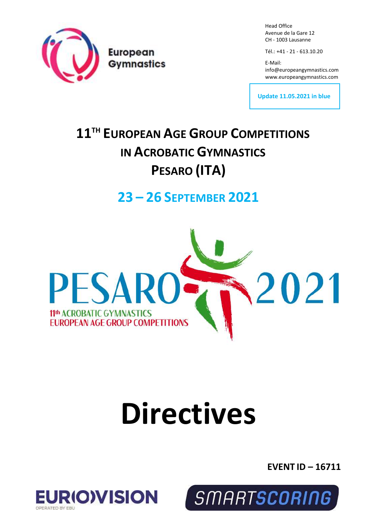

Head Office Avenue de la Gare 12 CH - 1003 Lausanne

Tél.: +41 - 21 - 613.10.20

E-Mail: info@europeangymnastics.com [www.europeangymnastics.com](http://www.europeangymnastics.com/)

**Update 11.05.2021 in blue**

# **11 TH EUROPEAN AGE GROUP COMPETITIONS IN ACROBATIC GYMNASTICS PESARO (ITA)**

# **23 – 26 SEPTEMBER 2021**



# **Directives**

**EVENT ID – 16711**



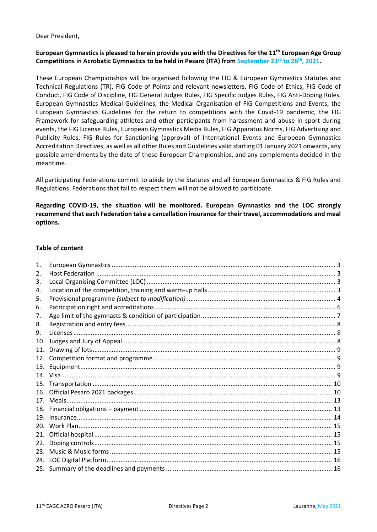Dear President,

# **European Gymnastics is pleased to herein provide you with the Directives for the 11 th European Age Group Competitions in Acrobatic Gymnastics to be held in Pesaro (ITA) from September 23rd to 26th, 2021.**

These European Championships will be organised following the FIG & European Gymnastics Statutes and Technical Regulations (TR), FIG Code of Points and relevant newsletters, FIG Code of Ethics, FIG Code of Conduct, FIG Code of Discipline, FIG General Judges Rules, FIG Specific Judges Rules, FIG Anti-Doping Rules, European Gymnastics Medical Guidelines, the Medical Organisation of FIG Competitions and Events, the European Gymnastics Guidelines for the return to competitions with the Covid-19 pandemic, the FIG Framework for safeguarding athletes and other participants from harassment and abuse in sport during events, the FIG License Rules, European Gymnastics Media Rules, FIG Apparatus Norms, FIG Advertising and Publicity Rules, FIG Rules for Sanctioning (approval) of International Events and European Gymnastics Accreditation Directives, as well as all other Rules and Guidelines valid starting 01 January 2021 onwards, any possible amendments by the date of these European Championships, and any complements decided in the meantime.

All participating Federations commit to abide by the Statutes and all European Gymnastics & FIG Rules and Regulations. Federations that fail to respect them will not be allowed to participate.

# **Regarding COVID-19, the situation will be monitored. European Gymnastics and the LOC strongly recommend that each Federation take a cancellation insurance for their travel, accommodations and meal options.**

# **Table of content**

| 1.              |  |
|-----------------|--|
| 2.              |  |
| 3.              |  |
| 4.              |  |
| 5.              |  |
| 6.              |  |
| 7.              |  |
| 8.              |  |
| 9.              |  |
| 10.             |  |
| 11.             |  |
| 12.             |  |
| 13.             |  |
|                 |  |
| 15.             |  |
|                 |  |
| 17 <sub>1</sub> |  |
| 18.             |  |
| 19.             |  |
| 20.             |  |
| 21.             |  |
| 22.             |  |
| 23.             |  |
| 24.             |  |
|                 |  |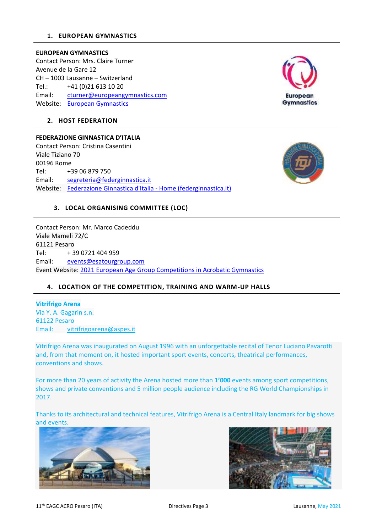#### <span id="page-2-0"></span>**1. EUROPEAN GYMNASTICS**

#### **EUROPEAN GYMNASTICS**

Contact Person: Mrs. Claire Turner Avenue de la Gare 12 CH – 1003 Lausanne – Switzerland Tel.: +41 (0)21 613 10 20 Email: [cturner@europeangymnastics.com](mailto:cturner@europeangymnastics.com) Website: [European Gymnastics](https://www.europeangymnastics.com/)



#### <span id="page-2-1"></span>**2. HOST FEDERATION**

# **FEDERAZIONE GINNASTICA D'ITALIA**

Contact Person: Cristina Casentini Viale Tiziano 70 00196 Rome Tel: +39 06 879 750 Email: [segreteria@federginnastica.it](mailto:segreteria@federginnastica.it) Website: [Federazione Ginnastica d'Italia -](https://www.federginnastica.it/) Home (federginnastica.it)



# <span id="page-2-2"></span>**3. LOCAL ORGANISING COMMITTEE (LOC)**

Contact Person: Mr. Marco Cadeddu Viale Mameli 72/C 61121 Pesaro Tel: + 39 0721 404 959 Email: [events@esatourgroup.com](mailto:events@esatourgroup.com) Event Website: [2021 European Age Group Competitions in Acrobatic Gymnastics](https://www.europeangymnastics.com/event/2021-european-age-group-competitions-acrobatic-gymnastics/overview)

# <span id="page-2-3"></span>**4. LOCATION OF THE COMPETITION, TRAINING AND WARM-UP HALLS**

# **Vitrifrigo Arena** Via Y. A. Gagarin s.n. 61122 Pesaro Email: [vitrifrigoarena@aspes.it](mailto:vitrifrigoarena@aspes.it)

Vitrifrigo Arena was inaugurated on August 1996 with an unforgettable recital of Tenor Luciano Pavarotti and, from that moment on, it hosted important sport events, concerts, theatrical performances, conventions and shows.

For more than 20 years of activity the Arena hosted more than **1'000** events among sport competitions, shows and private conventions and 5 million people audience including the RG World Championships in 2017.

Thanks to its architectural and technical features, Vitrifrigo Arena is a Central Italy landmark for big shows and events.



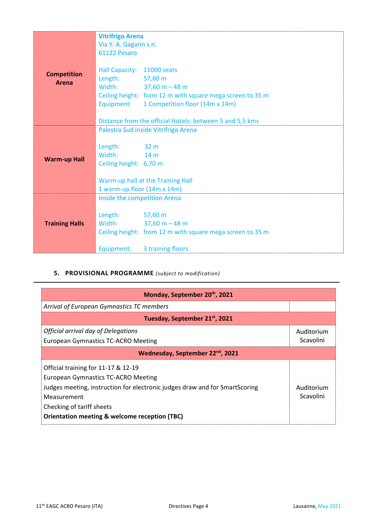|                              | <b>Vitrifrigo Arena</b>                                                                                                                                                             |  |  |
|------------------------------|-------------------------------------------------------------------------------------------------------------------------------------------------------------------------------------|--|--|
|                              | Via Y. A. Gagarin s.n.                                                                                                                                                              |  |  |
|                              | 61122 Pesaro                                                                                                                                                                        |  |  |
| <b>Competition</b><br>Arena  | Hall Capacity: 11000 seats<br>Length: 57,60 m<br>Width: $37,60 m - 48 m$<br>Ceiling height: from 12 m with square mega screen to 35 m<br>Equipment: 1 Competition floor (14m x 14m) |  |  |
|                              | Distance from the official Hotels: between 5 and 5,5 kms                                                                                                                            |  |  |
| <b>Warm-up Hall</b>          | Palestra Sud inside Vitrifrigo Arena<br>Length: 32 m<br>Width: 14 m<br>Ceiling height: 6,70 m<br>Warm-up hall at the Training Hall                                                  |  |  |
|                              | 1 warm-up floor (14m x 14m)                                                                                                                                                         |  |  |
| Inside the competition Arena |                                                                                                                                                                                     |  |  |
| <b>Training Halls</b>        | Length: 57,60 m<br>Width: $37,60 m - 48 m$<br>Ceiling height: from 12 m with square mega screen to 35 m                                                                             |  |  |
|                              | Equipment:<br>3 training floors                                                                                                                                                     |  |  |

# **5. PROVISIONAL PROGRAMME** *(subject to modification)*

<span id="page-3-0"></span>

| Monday, September 20th, 2021                                                                                                                                                                                                                                                                        |                         |  |  |
|-----------------------------------------------------------------------------------------------------------------------------------------------------------------------------------------------------------------------------------------------------------------------------------------------------|-------------------------|--|--|
| Arrival of European Gymnastics TC members                                                                                                                                                                                                                                                           |                         |  |  |
| Tuesday, September 21 <sup>st</sup> , 2021                                                                                                                                                                                                                                                          |                         |  |  |
| Official arrival day of Delegations<br><b>European Gymnastics TC-ACRO Meeting</b>                                                                                                                                                                                                                   | Auditorium<br>Scavolini |  |  |
| Wednesday, September 22 <sup>nd</sup> , 2021                                                                                                                                                                                                                                                        |                         |  |  |
| Official training for 11-17 & 12-19<br><b>European Gymnastics TC-ACRO Meeting</b><br>Judges meeting, instruction for electronic judges draw and for SmartScoring<br>Auditorium<br>Scavolini<br>Measurement<br>Checking of tariff sheets<br><b>Orientation meeting &amp; welcome reception (TBC)</b> |                         |  |  |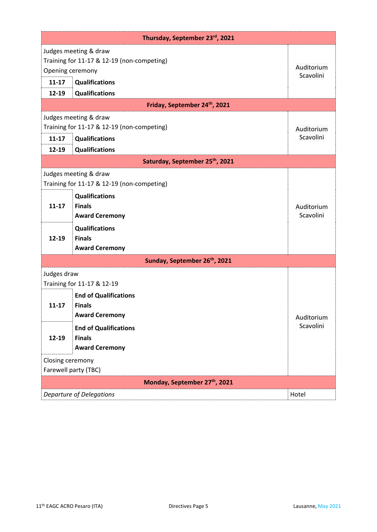| Thursday, September 23rd, 2021            |                                                                                                                                                                                                           |                         |  |
|-------------------------------------------|-----------------------------------------------------------------------------------------------------------------------------------------------------------------------------------------------------------|-------------------------|--|
| Opening ceremony<br>$11 - 17$             | Judges meeting & draw<br>Training for 11-17 & 12-19 (non-competing)<br><b>Qualifications</b>                                                                                                              | Auditorium<br>Scavolini |  |
| $12 - 19$                                 | <b>Qualifications</b>                                                                                                                                                                                     |                         |  |
|                                           | Friday, September 24th, 2021                                                                                                                                                                              |                         |  |
| $11 - 17$<br>$12 - 19$                    | Judges meeting & draw<br>Training for 11-17 & 12-19 (non-competing)<br>Qualifications<br>Qualifications                                                                                                   | Auditorium<br>Scavolini |  |
|                                           | Saturday, September 25th, 2021                                                                                                                                                                            |                         |  |
| $11 - 17$<br>$12 - 19$                    | Judges meeting & draw<br>Training for 11-17 & 12-19 (non-competing)<br><b>Qualifications</b><br><b>Finals</b><br><b>Award Ceremony</b><br><b>Qualifications</b><br><b>Finals</b><br><b>Award Ceremony</b> | Auditorium<br>Scavolini |  |
| Sunday, September 26 <sup>th</sup> , 2021 |                                                                                                                                                                                                           |                         |  |
| Judges draw                               | Training for 11-17 & 12-19<br><b>End of Qualifications</b>                                                                                                                                                |                         |  |
| $11 - 17$                                 | <b>Finals</b><br><b>Award Ceremony</b>                                                                                                                                                                    | Auditorium<br>Scavolini |  |
| 12-19                                     | <b>End of Qualifications</b><br><b>Finals</b><br><b>Award Ceremony</b>                                                                                                                                    |                         |  |
| Closing ceremony<br>Farewell party (TBC)  |                                                                                                                                                                                                           |                         |  |
| Monday, September 27th, 2021              |                                                                                                                                                                                                           |                         |  |
|                                           | <b>Departure of Delegations</b>                                                                                                                                                                           | Hotel                   |  |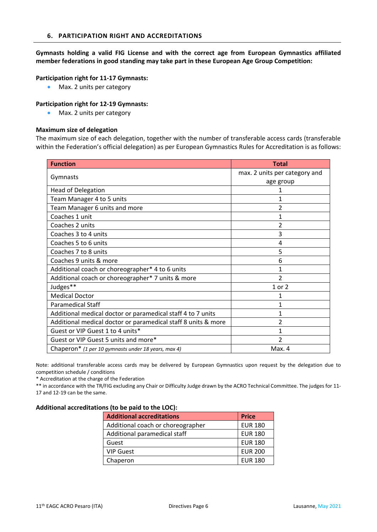<span id="page-5-0"></span>**Gymnasts holding a valid FIG License and with the correct age from European Gymnastics affiliated member federations in good standing may take part in these European Age Group Competition:**

#### **Participation right for 11-17 Gymnasts:**

• Max. 2 units per category

#### **Participation right for 12-19 Gymnasts:**

• Max. 2 units per category

#### **Maximum size of delegation**

The maximum size of each delegation, together with the number of transferable access cards (transferable within the Federation's official delegation) as per European Gymnastics Rules for Accreditation is as follows:

| <b>Function</b>                                               | <b>Total</b>                  |
|---------------------------------------------------------------|-------------------------------|
|                                                               | max. 2 units per category and |
| Gymnasts                                                      | age group                     |
| <b>Head of Delegation</b>                                     |                               |
| Team Manager 4 to 5 units                                     |                               |
| Team Manager 6 units and more                                 | 2                             |
| Coaches 1 unit                                                | 1                             |
| Coaches 2 units                                               | $\overline{\phantom{a}}$      |
| Coaches 3 to 4 units                                          | 3                             |
| Coaches 5 to 6 units                                          | 4                             |
| Coaches 7 to 8 units                                          | 5                             |
| Coaches 9 units & more                                        | 6                             |
| Additional coach or choreographer* 4 to 6 units               | 1                             |
| Additional coach or choreographer* 7 units & more             | 2                             |
| Judges**                                                      | 1 or 2                        |
| <b>Medical Doctor</b>                                         | 1                             |
| <b>Paramedical Staff</b>                                      | 1                             |
| Additional medical doctor or paramedical staff 4 to 7 units   | 1                             |
| Additional medical doctor or paramedical staff 8 units & more | 2                             |
| Guest or VIP Guest 1 to 4 units*                              | 1                             |
| Guest or VIP Guest 5 units and more*                          | 2                             |
| Chaperon* (1 per 10 gymnasts under 18 years, max 4)           | Max. 4                        |

Note: additional transferable access cards may be delivered by European Gymnastics upon request by the delegation due to competition schedule / conditions

\* Accreditation at the charge of the Federation

\*\* in accordance with the TR/FIG excluding any Chair or Difficulty Judge drawn by the ACRO Technical Committee. The judges for 11- 17 and 12-19 can be the same.

#### **Additional accreditations (to be paid to the LOC):**

| <b>Additional accreditations</b>  | <b>Price</b>   |
|-----------------------------------|----------------|
| Additional coach or choreographer | <b>EUR 180</b> |
| Additional paramedical staff      | <b>EUR 180</b> |
| Guest                             | <b>EUR 180</b> |
| <b>VIP Guest</b>                  | <b>EUR 200</b> |
| Chaperon                          | <b>EUR 180</b> |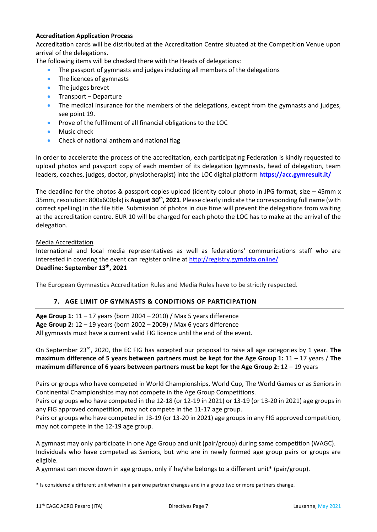# **Accreditation Application Process**

Accreditation cards will be distributed at the Accreditation Centre situated at the Competition Venue upon arrival of the delegations.

The following items will be checked there with the Heads of delegations:

- The passport of gymnasts and judges including all members of the delegations
- The licences of gymnasts
- The judges brevet
- Transport Departure
- The medical insurance for the members of the delegations, except from the gymnasts and judges, see point 19.
- Prove of the fulfilment of all financial obligations to the LOC
- Music check
- Check of national anthem and national flag

In order to accelerate the process of the accreditation, each participating Federation is kindly requested to upload photos and passport copy of each member of its delegation (gymnasts, head of delegation, team leaders, coaches, judges, doctor, physiotherapist) into the LOC digital platform **<https://acc.gymresult.it/>**

The deadline for the photos & passport copies upload (identity colour photo in JPG format, size  $-$  45mm x 35mm, resolution: 800x600plx) is **August 30th, 2021**. Please clearly indicate the corresponding full name (with correct spelling) in the file title. Submission of photos in due time will prevent the delegations from waiting at the accreditation centre. EUR 10 will be charged for each photo the LOC has to make at the arrival of the delegation.

# Media Accreditation

International and local media representatives as well as federations' communications staff who are interested in covering the event can register online at<http://registry.gymdata.online/> **Deadline: September 13th, 2021**

The European Gymnastics Accreditation Rules and Media Rules have to be strictly respected.

# **7. AGE LIMIT OF GYMNASTS & CONDITIONS OF PARTICIPATION**

<span id="page-6-0"></span>**Age Group 1:** 11 – 17 years (born 2004 – 2010) / Max 5 years difference **Age Group 2:** 12 – 19 years (born 2002 – 2009) / Max 6 years difference All gymnasts must have a current valid FIG licence until the end of the event.

On September 23<sup>rd</sup>, 2020, the EC FIG has accepted our proposal to raise all age categories by 1 year. The **maximum difference of 5 years between partners must be kept for the Age Group 1:** 11 – 17 years / **The maximum difference of 6 years between partners must be kept for the Age Group 2:** 12 – 19 years

Pairs or groups who have competed in World Championships, World Cup, The World Games or as Seniors in Continental Championships may not compete in the Age Group Competitions.

Pairs or groups who have competed in the 12-18 (or 12-19 in 2021) or 13-19 (or 13-20 in 2021) age groups in any FIG approved competition, may not compete in the 11-17 age group.

Pairs or groups who have competed in 13-19 (or 13-20 in 2021) age groups in any FIG approved competition, may not compete in the 12-19 age group.

A gymnast may only participate in one Age Group and unit (pair/group) during same competition (WAGC). Individuals who have competed as Seniors, but who are in newly formed age group pairs or groups are eligible.

A gymnast can move down in age groups, only if he/she belongs to a different unit\* (pair/group).

\* Is considered a different unit when in a pair one partner changes and in a group two or more partners change.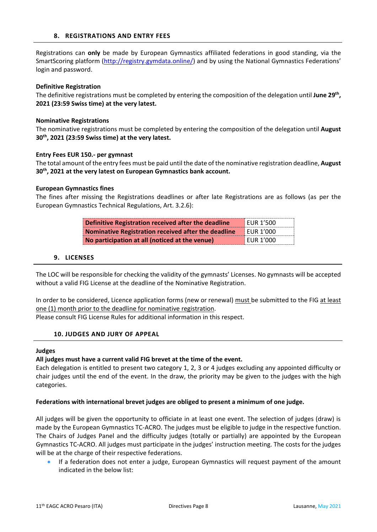<span id="page-7-0"></span>Registrations can **only** be made by European Gymnastics affiliated federations in good standing, via the SmartScoring platform (http://registry.gymdata.online/) and by using the National Gymnastics Federations' login and password.

#### **Definitive Registration**

The definitive registrations must be completed by entering the composition of the delegation until **June 29th , 2021 (23:59 Swiss time) at the very latest.** 

#### **Nominative Registrations**

The nominative registrations must be completed by entering the composition of the delegation until **August 30th, 2021 (23:59 Swiss time) at the very latest.**

#### **Entry Fees EUR 150.- per gymnast**

The total amount of the entry fees must be paid until the date of the nominative registration deadline, **August 30th, 2021 at the very latest on European Gymnastics bank account.**

#### **European Gymnastics fines**

The fines after missing the Registrations deadlines or after late Registrations are as follows (as per the European Gymnastics Technical Regulations, Art. 3.2.6):

| Definitive Registration received after the deadline | EUR 1'500        |
|-----------------------------------------------------|------------------|
| Nominative Registration received after the deadline | FUR1'000         |
| No participation at all (noticed at the venue)      | <b>EUR 1'000</b> |

#### **9. LICENSES**

<span id="page-7-1"></span>The LOC will be responsible for checking the validity of the gymnasts' Licenses. No gymnasts will be accepted without a valid FIG License at the deadline of the Nominative Registration.

In order to be considered, Licence application forms (new or renewal) must be submitted to the FIG at least one (1) month prior to the deadline for nominative registration.

<span id="page-7-2"></span>Please consult FIG License Rules for additional information in this respect.

#### **10. JUDGES AND JURY OF APPEAL**

#### **Judges**

#### **All judges must have a current valid FIG brevet at the time of the event.**

Each delegation is entitled to present two category 1, 2, 3 or 4 judges excluding any appointed difficulty or chair judges until the end of the event. In the draw, the priority may be given to the judges with the high categories.

#### **Federations with international brevet judges are obliged to present a minimum of one judge.**

All judges will be given the opportunity to officiate in at least one event. The selection of judges (draw) is made by the European Gymnastics TC-ACRO. The judges must be eligible to judge in the respective function. The Chairs of Judges Panel and the difficulty judges (totally or partially) are appointed by the European Gymnastics TC-ACRO. All judges must participate in the judges' instruction meeting. The costs for the judges will be at the charge of their respective federations.

• If a federation does not enter a judge, European Gymnastics will request payment of the amount indicated in the below list: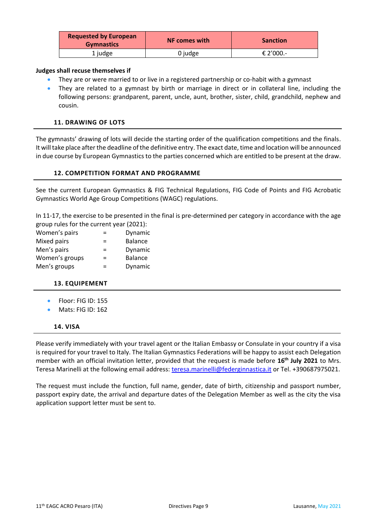| <b>Requested by European</b><br><b>Gymnastics</b> | <b>NF comes with</b> | <b>Sanction</b> |
|---------------------------------------------------|----------------------|-----------------|
| 1 judge                                           | 0 judge              | € 2'000.-       |

### **Judges shall recuse themselves if**

- They are or were married to or live in a registered partnership or co-habit with a gymnast
- They are related to a gymnast by birth or marriage in direct or in collateral line, including the following persons: grandparent, parent, uncle, aunt, brother, sister, child, grandchild, nephew and cousin.

# **11. DRAWING OF LOTS**

<span id="page-8-0"></span>The gymnasts' drawing of lots will decide the starting order of the qualification competitions and the finals. It will take place after the deadline of the definitive entry. The exact date, time and location will be announced in due course by European Gymnastics to the parties concerned which are entitled to be present at the draw.

# **12. COMPETITION FORMAT AND PROGRAMME**

<span id="page-8-1"></span>See the current European Gymnastics & FIG Technical Regulations, FIG Code of Points and FIG Acrobatic Gymnastics World Age Group Competitions (WAGC) regulations.

In 11-17, the exercise to be presented in the final is pre-determined per category in accordance with the age group rules for the current year (2021):

| Women's pairs  | ⋍   | Dynamic        |
|----------------|-----|----------------|
| Mixed pairs    | =   | <b>Balance</b> |
| Men's pairs    | ⋍   | Dynamic        |
| Women's groups | $=$ | <b>Balance</b> |
| Men's groups   | =   | Dynamic        |

# <span id="page-8-2"></span>**13. EQUIPEMENT**

- Floor: FIG ID: 155
- Mats: FIG ID: 162

#### **14. VISA**

<span id="page-8-3"></span>Please verify immediately with your travel agent or the Italian Embassy or Consulate in your country if a visa is required for your travel to Italy. The Italian Gymnastics Federations will be happy to assist each Delegation member with an official invitation letter, provided that the request is made before **16th July 2021** to Mrs. Teresa Marinelli at the following email address: [teresa.marinelli@federginnastica.it](mailto:teresa.marinelli@federginnastica.it) or Tel. +390687975021.

The request must include the function, full name, gender, date of birth, citizenship and passport number, passport expiry date, the arrival and departure dates of the Delegation Member as well as the city the visa application support letter must be sent to.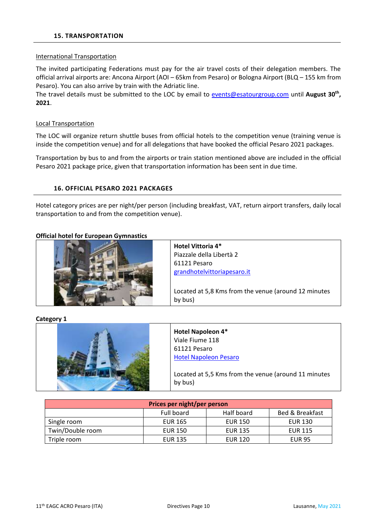#### <span id="page-9-0"></span>International Transportation

The invited participating Federations must pay for the air travel costs of their delegation members. The official arrival airports are: Ancona Airport (AOI – 65km from Pesaro) or Bologna Airport (BLQ – 155 km from Pesaro). You can also arrive by train with the Adriatic line.

The travel details must be submitted to the LOC by email to [events@esatourgroup.com](mailto:events@esatourgroup.com) until **August 30th , 2021**.

#### Local Transportation

The LOC will organize return shuttle buses from official hotels to the competition venue (training venue is inside the competition venue) and for all delegations that have booked the official Pesaro 2021 packages.

Transportation by bus to and from the airports or train station mentioned above are included in the official Pesaro 2021 package price, given that transportation information has been sent in due time.

# **16. OFFICIAL PESARO 2021 PACKAGES**

<span id="page-9-1"></span>Hotel category prices are per night/per person (including breakfast, VAT, return airport transfers, daily local transportation to and from the competition venue).

#### **Official hotel for European Gymnastics**



**Hotel Vittoria 4\***  Piazzale della Libertà 2 61121 Pesaro [grandhotelvittoriapesaro.it](https://www.grandhotelvittoriapesaro.it/fr/)

Located at 5,8 Kms from the venue (around 12 minutes by bus)

#### **Category 1**



| Prices per night/per person                            |                |                |                |  |
|--------------------------------------------------------|----------------|----------------|----------------|--|
| Half board<br><b>Bed &amp; Breakfast</b><br>Full board |                |                |                |  |
| Single room                                            | <b>EUR 165</b> | <b>EUR 150</b> | <b>EUR 130</b> |  |
| Twin/Double room                                       | <b>EUR 150</b> | <b>EUR 135</b> | <b>EUR 115</b> |  |
| Triple room                                            | <b>EUR 135</b> | <b>EUR 120</b> | <b>EUR 95</b>  |  |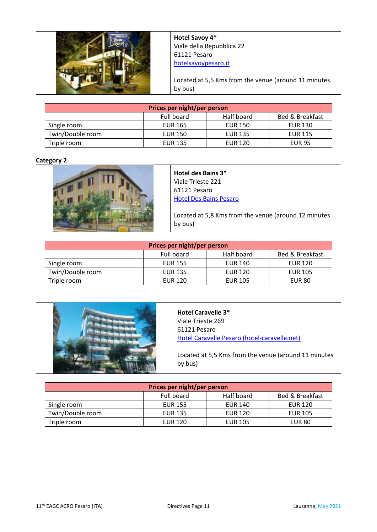

**Hotel Savoy 4\*** Viale della Repubblica 22 61121 Pesaro [hotelsavoypesaro.it](https://www.hotelsavoypesaro.it/)

Located at 5,5 Kms from the venue (around 11 minutes by bus)

| Prices per night/per person                            |                |                |                |  |
|--------------------------------------------------------|----------------|----------------|----------------|--|
| Half board<br><b>Bed &amp; Breakfast</b><br>Full board |                |                |                |  |
| Single room                                            | <b>EUR 165</b> | <b>EUR 150</b> | <b>EUR 130</b> |  |
| Twin/Double room                                       | EUR 150        | <b>EUR 135</b> | <b>EUR 115</b> |  |
| Triple room                                            | <b>EUR 135</b> | <b>EUR 120</b> | <b>EUR 95</b>  |  |

# **Category 2**



**Hotel des Bains 3\*** Viale Trieste 221 61121 Pesaro [Hotel Des Bains Pesaro](https://www.hoteldesbainspesaro.it/) 

Located at 5,8 Kms from the venue (around 12 minutes by bus)

| Prices per night/per person                            |                |                |                |  |
|--------------------------------------------------------|----------------|----------------|----------------|--|
| Half board<br><b>Bed &amp; Breakfast</b><br>Full board |                |                |                |  |
| Single room                                            | <b>EUR 155</b> | <b>EUR 140</b> | <b>EUR 120</b> |  |
| Twin/Double room                                       | <b>EUR 135</b> | <b>EUR 120</b> | <b>EUR 105</b> |  |
| Triple room                                            | <b>EUR 120</b> | <b>EUR 105</b> | <b>EUR 80</b>  |  |

| <b>Hotel Caravelle 3*</b><br>Viale Trieste 269<br>61121 Pesaro<br>Hotel Caravelle Pesaro (hotel-caravelle.net) |
|----------------------------------------------------------------------------------------------------------------|
| Located at 5,5 Kms from the venue (around 11 minutes<br>by bus)                                                |

| Prices per night/per person                            |                |                |                |
|--------------------------------------------------------|----------------|----------------|----------------|
| Half board<br><b>Bed &amp; Breakfast</b><br>Full board |                |                |                |
| Single room                                            | <b>EUR 155</b> | EUR 140        | <b>EUR 120</b> |
| Twin/Double room                                       | <b>EUR 135</b> | EUR 120        | <b>EUR 105</b> |
| Triple room                                            | EUR 120        | <b>EUR 105</b> | <b>EUR 80</b>  |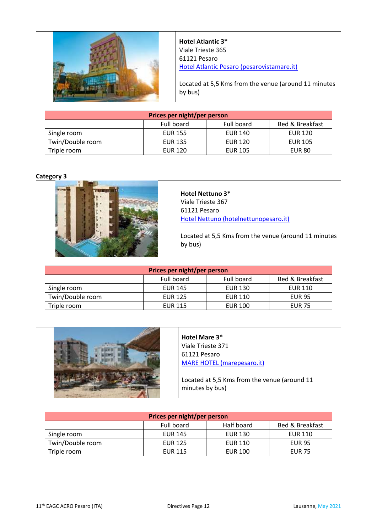

**Hotel Atlantic 3\*** Viale Trieste 365 61121 Pesaro [Hotel Atlantic Pesaro \(pesarovistamare.it\)](https://www.pesarovistamare.it/?utm_source=google&utm_medium=organic&utm_campaign=mybusiness)

Located at 5,5 Kms from the venue (around 11 minutes by bus)

| Prices per night/per person                            |                |                |                |
|--------------------------------------------------------|----------------|----------------|----------------|
| <b>Bed &amp; Breakfast</b><br>Full board<br>Full board |                |                |                |
| Single room                                            | <b>EUR 155</b> | <b>EUR 140</b> | <b>EUR 120</b> |
| Twin/Double room                                       | <b>EUR 135</b> | EUR 120        | <b>EUR 105</b> |
| Triple room                                            | <b>EUR 120</b> | <b>EUR 105</b> | <b>EUR 80</b>  |

# **Category 3**



# **Hotel Nettuno 3\*** Viale Trieste 367 61121 Pesaro [Hotel Nettuno \(hotelnettunopesaro.it\)](https://www.hotelnettunopesaro.it/)

Located at 5,5 Kms from the venue (around 11 minutes by bus)

| Prices per night/per person                            |                |                |                |
|--------------------------------------------------------|----------------|----------------|----------------|
| Full board<br><b>Bed &amp; Breakfast</b><br>Full board |                |                |                |
| Single room                                            | <b>EUR 145</b> | <b>EUR 130</b> | <b>EUR 110</b> |
| Twin/Double room                                       | <b>EUR 125</b> | <b>EUR 110</b> | <b>EUR 95</b>  |
| Triple room                                            | <b>EUR 115</b> | <b>EUR 100</b> | <b>EUR 75</b>  |

| Hotel Mare 3*<br>Viale Trieste 371<br>61121 Pesaro              |
|-----------------------------------------------------------------|
| <b>MARE HOTEL (marepesaro.it)</b>                               |
| Located at 5,5 Kms from the venue (around 11<br>minutes by bus) |

| Prices per night/per person                            |                |                |                |
|--------------------------------------------------------|----------------|----------------|----------------|
| Half board<br>Full board<br><b>Bed &amp; Breakfast</b> |                |                |                |
| Single room                                            | <b>EUR 145</b> | <b>EUR 130</b> | <b>EUR 110</b> |
| Twin/Double room                                       | <b>EUR 125</b> | <b>EUR 110</b> | <b>EUR 95</b>  |
| Triple room                                            | <b>EUR 115</b> | <b>EUR 100</b> | <b>EUR 75</b>  |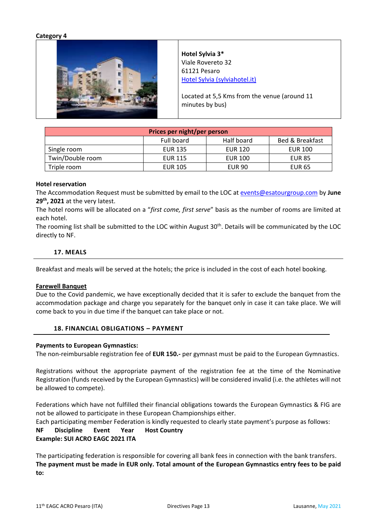#### **Category 4**



**Hotel Sylvia 3\*** Viale Rovereto 32 61121 Pesaro [Hotel Sylvia \(sylviahotel.it\)](http://www.sylviahotel.it/)

Located at 5,5 Kms from the venue (around 11 minutes by bus)

| Prices per night/per person                            |                |                |                |
|--------------------------------------------------------|----------------|----------------|----------------|
| Half board<br>Full board<br><b>Bed &amp; Breakfast</b> |                |                |                |
| Single room                                            | <b>EUR 135</b> | EUR 120        | <b>EUR 100</b> |
| Twin/Double room                                       | <b>EUR 115</b> | <b>EUR 100</b> | <b>EUR 85</b>  |
| Triple room                                            | <b>EUR 105</b> | <b>EUR 90</b>  | <b>EUR 65</b>  |

#### **Hotel reservation**

The Accommodation Request must be submitted by email to the LOC at [events@esatourgroup.com](mailto:events@esatourgroup.com) by **June 29th, 2021** at the very latest.

The hotel rooms will be allocated on a "*first come, first serve*" basis as the number of rooms are limited at each hotel.

The rooming list shall be submitted to the LOC within August 30<sup>th</sup>. Details will be communicated by the LOC directly to NF.

#### **17. MEALS**

<span id="page-12-0"></span>Breakfast and meals will be served at the hotels; the price is included in the cost of each hotel booking.

#### **Farewell Banquet**

Due to the Covid pandemic, we have exceptionally decided that it is safer to exclude the banquet from the accommodation package and charge you separately for the banquet only in case it can take place. We will come back to you in due time if the banquet can take place or not.

#### **18. FINANCIAL OBLIGATIONS** *–* **PAYMENT**

#### <span id="page-12-1"></span>**Payments to European Gymnastics:**

The non-reimbursable registration fee of **EUR 150.-** per gymnast must be paid to the European Gymnastics.

Registrations without the appropriate payment of the registration fee at the time of the Nominative Registration (funds received by the European Gymnastics) will be considered invalid (i.e. the athletes will not be allowed to compete).

Federations which have not fulfilled their financial obligations towards the European Gymnastics & FIG are not be allowed to participate in these European Championships either.

Each participating member Federation is kindly requested to clearly state payment's purpose as follows:

# **NF Discipline Event Year Host Country**

# **Example: SUI ACRO EAGC 2021 ITA**

The participating federation is responsible for covering all bank fees in connection with the bank transfers. **The payment must be made in EUR only. Total amount of the European Gymnastics entry fees to be paid to:**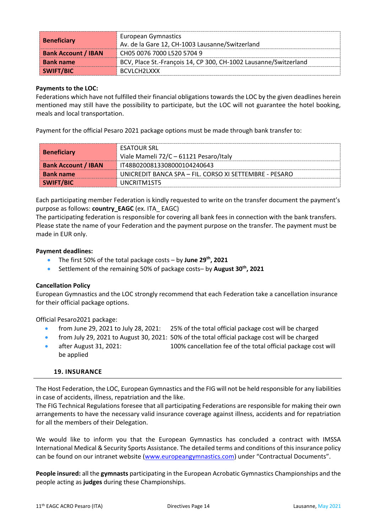| <b>Beneficiary</b>         | <b>European Gymnastics</b><br>Av. de la Gare 12, CH-1003 Lausanne/Switzerland |
|----------------------------|-------------------------------------------------------------------------------|
| <b>Bank Account / IBAN</b> | CH05 0076 7000 L520 5704 9                                                    |
| <b>Bank name</b>           | BCV, Place St.-François 14, CP 300, CH-1002 Lausanne/Switzerland              |
| SWIFT/BIC                  | BCVLCH <sub>2L</sub> XXX                                                      |

# **Payments to the LOC:**

Federations which have not fulfilled their financial obligations towards the LOC by the given deadlines herein mentioned may still have the possibility to participate, but the LOC will not guarantee the hotel booking, meals and local transportation.

Payment for the official Pesaro 2021 package options must be made through bank transfer to:

| <b>Beneficiary</b>         | <b>ESATOUR SRL</b><br>Viale Mameli 72/C - 61121 Pesaro/Italy |
|----------------------------|--------------------------------------------------------------|
| <b>Bank Account / IBAN</b> | IT48B0200813308000104240643                                  |
| <b>Bank name</b>           | UNICREDIT BANCA SPA – FIL. CORSO XI SETTEMBRE - PESARO       |
| SWIFT/BIC                  | UNCRITM1ST5                                                  |

Each participating member Federation is kindly requested to write on the transfer document the payment's purpose as follows: **country\_EAGC** (ex. ITA\_ EAGC)

The participating federation is responsible for covering all bank fees in connection with the bank transfers. Please state the name of your Federation and the payment purpose on the transfer. The payment must be made in EUR only.

# **Payment deadlines:**

- The first 50% of the total package costs by **June 29th, 2021**
- Settlement of the remaining 50% of package costs– by **August 30th, 2021**

# **Cancellation Policy**

European Gymnastics and the LOC strongly recommend that each Federation take a cancellation insurance for their official package options.

Official Pesaro2021 package:

- from June 29, 2021 to July 28, 2021: 25% of the total official package cost will be charged
- from July 29, 2021 to August 30, 2021: 50% of the total official package cost will be charged
- after August 31, 2021: 100% cancellation fee of the total official package cost will be applied

# **19. INSURANCE**

<span id="page-13-0"></span>The Host Federation, the LOC, European Gymnastics and the FIG will not be held responsible for any liabilities in case of accidents, illness, repatriation and the like.

The FIG Technical Regulations foresee that all participating Federations are responsible for making their own arrangements to have the necessary valid insurance coverage against illness, accidents and for repatriation for all the members of their Delegation.

We would like to inform you that the European Gymnastics has concluded a contract with IMSSA International Medical & Security Sports Assistance. The detailed terms and conditions of this insurance policy can be found on our intranet website [\(www.europeangymnastics.com\)](http://www.europeangymnastics.com/) under "Contractual Documents".

**People insured:** all the **gymnasts** participating in the European Acrobatic Gymnastics Championships and the people acting as **judges** during these Championships.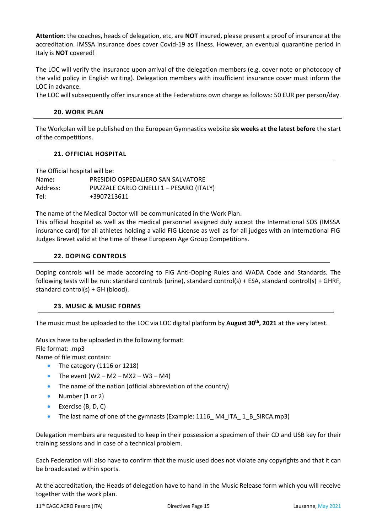**Attention:** the coaches, heads of delegation, etc, are **NOT** insured, please present a proof of insurance at the accreditation. IMSSA insurance does cover Covid-19 as illness. However, an eventual quarantine period in Italy is **NOT** covered!

The LOC will verify the insurance upon arrival of the delegation members (e.g. cover note or photocopy of the valid policy in English writing). Delegation members with insufficient insurance cover must inform the LOC in advance.

<span id="page-14-0"></span>The LOC will subsequently offer insurance at the Federations own charge as follows: 50 EUR per person/day.

# **20. WORK PLAN**

The Workplan will be published on the European Gymnastics website **six weeks at the latest before** the start of the competitions.

# **21. OFFICIAL HOSPITAL**

<span id="page-14-1"></span>The Official hospital will be: Name**:** PRESIDIO OSPEDALIERO SAN SALVATORE Address: PIAZZALE CARLO CINELLI 1 - PESARO (ITALY) Tel: +3907213611

The name of the Medical Doctor will be communicated in the Work Plan.

This official hospital as well as the medical personnel assigned duly accept the International SOS (IMSSA insurance card) for all athletes holding a valid FIG License as well as for all judges with an International FIG Judges Brevet valid at the time of these European Age Group Competitions.

# **22. DOPING CONTROLS**

<span id="page-14-2"></span>Doping controls will be made according to FIG Anti-Doping Rules and WADA Code and Standards. The following tests will be run: standard controls (urine), standard control(s) + ESA, standard control(s) + GHRF, standard control(s) + GH (blood).

#### **23. MUSIC & MUSIC FORMS**

<span id="page-14-3"></span>The music must be uploaded to the LOC via LOC digital platform by **August 30th, 2021** at the very latest.

Musics have to be uploaded in the following format: File format: .mp3 Name of file must contain:

- The category (1116 or 1218)
- The event  $(W2 M2 MX2 W3 M4)$
- The name of the nation (official abbreviation of the country)
- Number (1 or 2)
- Exercise (B, D, C)
- The last name of one of the gymnasts (Example: 1116\_M4\_ITA\_1\_B\_SIRCA.mp3)

Delegation members are requested to keep in their possession a specimen of their CD and USB key for their training sessions and in case of a technical problem.

Each Federation will also have to confirm that the music used does not violate any copyrights and that it can be broadcasted within sports.

At the accreditation, the Heads of delegation have to hand in the Music Release form which you will receive together with the work plan.